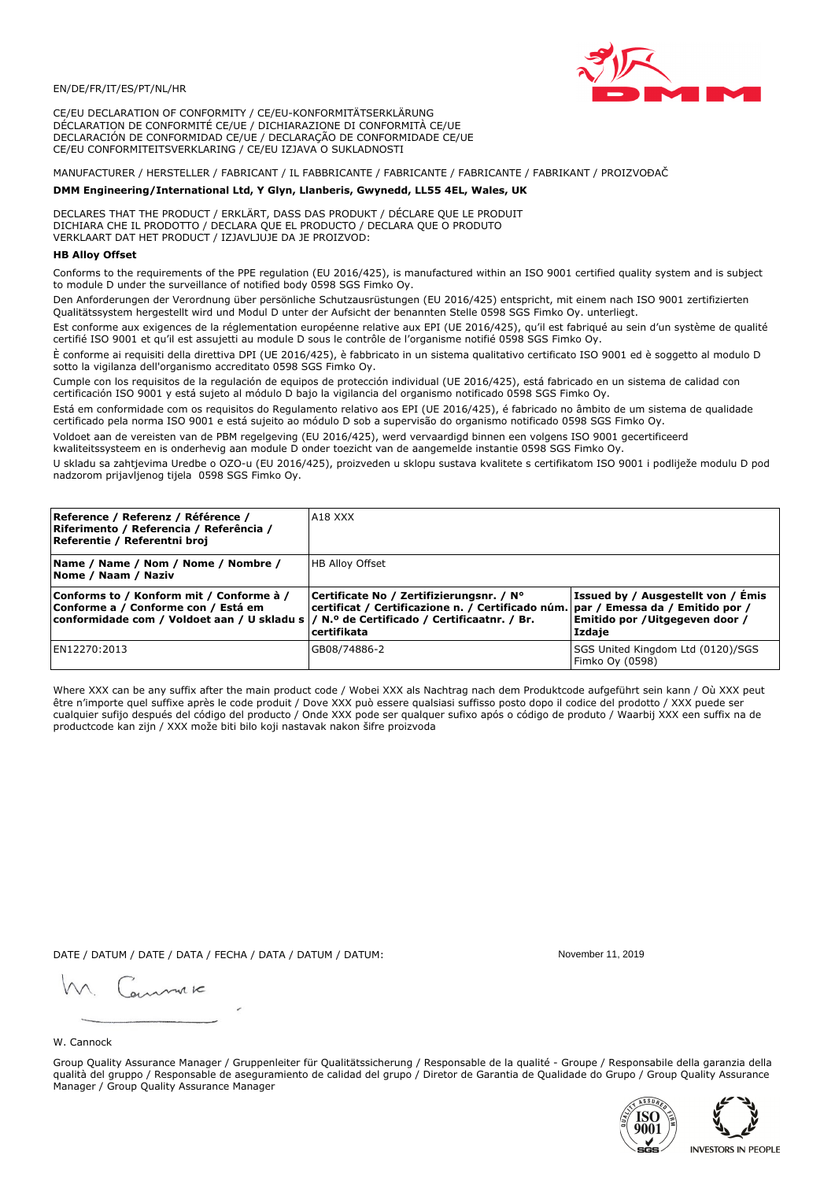

CE/EU DECLARATION OF CONFORMITY / CE/EU-KONFORMITÄTSERKLÄRUNG DÉCLARATION DE CONFORMITÉ CE/UE / DICHIARAZIONE DI CONFORMITÀ CE/UE DECLARACIÓN DE CONFORMIDAD CE/UE / DECLARAÇÃO DE CONFORMIDADE CE/UE CE/EU CONFORMITEITSVERKLARING / CE/EU IZJAVA O SUKLADNOSTI

# MANUFACTURER / HERSTELLER / FABRICANT / IL FABBRICANTE / FABRICANTE / FABRICANTE / FABRIKANT / PROIZVOĐAČ

# DMM Engineering/International Ltd, Y Glyn, Llanberis, Gwynedd, LL55 4EL, Wales, UK

DECLARES THAT THE PRODUCT / ERKLÄRT, DASS DAS PRODUKT / DÉCLARE QUE LE PRODUIT<br>DICHIARA CHE IL PRODOTTO / DECLARA QUE EL PRODUCTO / DECLARA QUE O PRODUTO VERKLAART DAT HET PRODUCT / IZJAVLJUJE DA JE PROIZVOD:

## **HB Allov Offset**

Conforms to the requirements of the PPE regulation (EU 2016/425), is manufactured within an ISO 9001 certified quality system and is subject to module D under the surveillance of notified body 0598 SGS Fimko Oy.

Den Anforderungen der Verordnung über persönliche Schutzausrüstungen (EU 2016/425) entspricht, mit einem nach ISO 9001 zertifizierten Qualitätssystem hergestellt wird und Modul D unter der Aufsicht der benannten Stelle 0598 SGS Fimko Oy. unterliegt.

Est conforme aux exigences de la réglementation européenne relative aux EPI (UE 2016/425), qu'il est fabriqué au sein d'un système de qualité certifié ISO 9001 et qu'il est assujetti au module D sous le contrôle de l'organisme notifié 0598 SGS Fimko Oy.

È conforme ai requisiti della direttiva DPI (UE 2016/425), è fabbricato in un sistema qualitativo certificato ISO 9001 ed è soggetto al modulo D sotto la vigilanza dell'organismo accreditato 0598 SGS Fimko Oy.

Cumple con los requisitos de la regulación de equipos de protección individual (UE 2016/425), está fabricado en un sistema de calidad con certificación ISO 9001 y está sujeto al módulo D bajo la vigilancia del organismo notificado 0598 SGS Fimko Oy.

Está em conformidade com os requisitos do Regulamento relativo aos EPI (UE 2016/425), é fabricado no âmbito de um sistema de qualidade certificado pela norma ISO 9001 e está sujeito ao módulo D sob a supervisão do organismo notificado 0598 SGS Fimko Oy.

Voldoet aan de vereisten van de PBM regelgeving (EU 2016/425), werd vervaardigd binnen een volgens ISO 9001 gecertificeerd kwaliteitssysteem en is onderhevig aan module D onder toezicht van de aangemelde instantie 0598 SGS Fimko Oy.

U skladu sa zahtjevima Uredbe o OZO-u (EU 2016/425), proizveden u sklopu sustava kvalitete s certifikatom ISO 9001 i podliježe modulu D pod nadzorom prijavljenog tijela 0598 SGS Fimko Oy.

| Reference / Referenz / Référence /<br>Riferimento / Referencia / Referência /<br>Referentie / Referentni broj                                                              | <b>A18 XXX</b>                                                                                                                                   |                                                                                 |
|----------------------------------------------------------------------------------------------------------------------------------------------------------------------------|--------------------------------------------------------------------------------------------------------------------------------------------------|---------------------------------------------------------------------------------|
| Name / Name / Nom / Nome / Nombre /<br>Nome / Naam / Naziv                                                                                                                 | HB Alloy Offset                                                                                                                                  |                                                                                 |
| Conforms to / Konform mit / Conforme à /<br>Conforme a / Conforme con / Está em<br>conformidade com / Voldoet aan / U skladu s / N.º de Certificado / Certificaatnr. / Br. | Certificate No / Zertifizierungsnr. / N°<br>  certificat / Certificazione n. / Certificado núm.   par / Emessa da / Emitido por /<br>certifikata | Issued by / Ausgestellt von / Emis<br>Emitido por / Uitgegeven door /<br>Izdaje |
| EN12270:2013                                                                                                                                                               | GB08/74886-2                                                                                                                                     | SGS United Kingdom Ltd (0120)/SGS<br>Fimko Oy (0598)                            |

Where XXX can be any suffix after the main product code / Wobei XXX als Nachtrag nach dem Produktcode aufgeführt sein kann / Où XXX peut être n'importe quel suffixe après le code produit / Dove XXX può essere qualsiasi suffisso posto dopo il codice del prodotto / XXX puede ser cualquier sufijo después del código del producto / Onde XXX pode ser qualquer sufixo após o código de produto / Waarbij XXX een suffix na de productcode kan zijn / XXX može biti bilo koji nastavak nakon šifre proizvoda

DATE / DATUM / DATE / DATA / FECHA / DATA / DATUM / DATUM:

gimmic

November 11, 2019



Group Quality Assurance Manager / Gruppenleiter für Qualitätssicherung / Responsable de la qualité - Groupe / Responsabile della garanzia della qualità del gruppo / Responsable de aseguramiento de calidad del grupo / Diretor de Garantia de Qualidade do Grupo / Group Quality Assurance Manager / Group Quality Assurance Manager



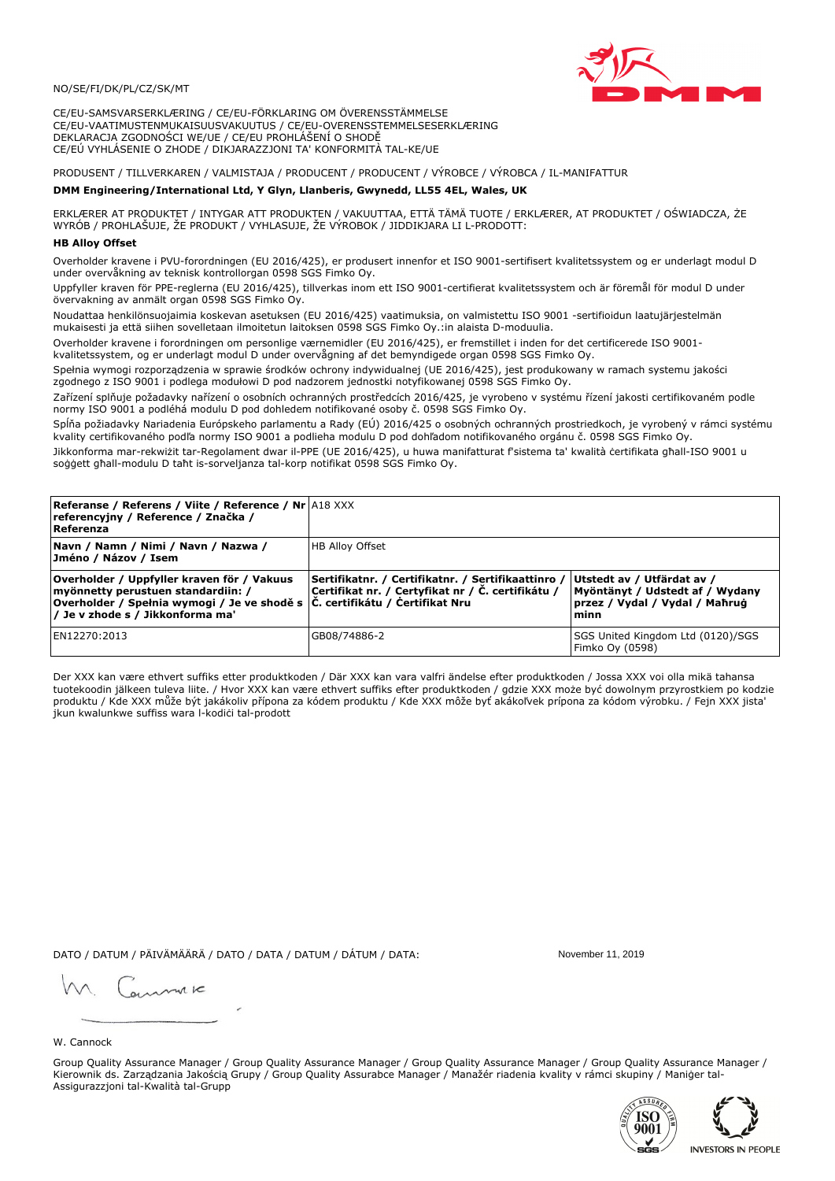

CE/EU-SAMSVARSERKLÆRING / CE/EU-FÖRKLARING OM ÖVERENSSTÄMMELSE CE/EU-VAATIMUSTENMUKAISUUSVAKUUTUS / CE/EU-OVERENSSTEMMELSESERKLÆRING DEKLARACJA ZGODNOŚCI WE/UE / CE/EU PROHLÁŠENÍ O SHODĚ CE/EÚ VYHLÁSENIE O ZHODE / DIKJARAZZJONI TA' KONFORMITÀ TAL-KE/UE

# PRODUSENT / TILLVERKAREN / VALMISTAJA / PRODUCENT / PRODUCENT / VÝROBCE / VÝROBCA / IL-MANIFATTUR

### DMM Engineering/International Ltd, Y Glyn, Llanberis, Gwynedd, LL55 4EL, Wales, UK

ERKLÆRER AT PRODUKTET / INTYGAR ATT PRODUKTEN / VAKUUTTAA, ETTÄ TÄMÄ TUOTE / ERKLÆRER, AT PRODUKTET / OŚWIADCZA, ŻE<br>WYRÓB / PROHLAŠUJE, ŽE PRODUKT / VYHLASUJE, ŽE VÝROBOK / JIDDIKJARA LI L-PRODOTT:

Overholder kravene i PVU-forordningen (EU 2016/425), er produsert innenfor et ISO 9001-sertifisert kvalitetssystem og er underlagt modul D under overvåkning av teknisk kontrollorgan 0598 SGS Fimko Oy.

Uppfyller kraven för PPE-reglerna (EU 2016/425), tillverkas inom ett ISO 9001-certifierat kvalitetssystem och är föremål för modul D under övervakning av anmält organ 0598 SGS Fimko Oy.

Noudattaa henkilönsuojaimia koskevan asetuksen (EU 2016/425) vaatimuksia, on valmistettu ISO 9001 -sertifioidun laatujärjestelmän mukaisesti ja että siihen sovelletaan ilmoitetun laitoksen 0598 SGS Fimko Oy.:in alaista D-moduulia.

Overholder kravene i forordningen om personlige værnemidler (EU 2016/425), er fremstillet i inden for det certificerede ISO 9001-

kvalitetssystem, og er underlagt modul D under overvågning af det bemyndigede organ 0598 SGS Fimko Oy.

Spełnia wymogi rozporządzenia w sprawie środków ochrony indywidualnej (UE 2016/425), jest produkowany w ramach systemu jakości zgodnego z ISO 9001 i podlega modułowi D pod nadzorem jednostki notyfikowanej 0598 SGS Fimko Oy.

Zařízení splňuje požadavky nařízení o osobních ochranných prostředcích 2016/425, je vyrobeno v systému řízení jakosti certifikovaném podle normy ISO 9001 a podléhá modulu D pod dohledem notifikované osoby č. 0598 SGS Fimko Oy.

Spĺňa požiadavky Nariadenia Európskeho parlamentu a Rady (EÚ) 2016/425 o osobných ochranných prostriedkoch, je vyrobený v rámci systému kvality certifikovaného podľa normy ISO 9001 a podlieha modulu D pod dohľadom notifikovaného orgánu č. 0598 SGS Fimko Oy.

Jikkonforma mar-rekwiżit tar-Regolament dwar il-PPE (UE 2016/425), u huwa manifatturat f'sistema ta' kwalità certifikata għall-ISO 9001 u soggett għall-modulu D taħt is-sorveljanza tal-korp notifikat 0598 SGS Fimko Oy.

| Referanse / Referens / Viite / Reference / Nr   A18 XXX<br>referencyjny / Reference / Značka /<br>Referenza                                                                                                       |                                                                                                         |                                                                                                         |
|-------------------------------------------------------------------------------------------------------------------------------------------------------------------------------------------------------------------|---------------------------------------------------------------------------------------------------------|---------------------------------------------------------------------------------------------------------|
| Navn / Namn / Nimi / Navn / Nazwa /<br> Jméno / Názov / Isem                                                                                                                                                      | <b>HB Alloy Offset</b>                                                                                  |                                                                                                         |
| Overholder / Uppfyller kraven för / Vakuus<br>myönnetty perustuen standardiin: /<br> Overholder / Spełnia wymogi / Je ve shodě s $ \tilde{C} $ . certifikátu / Čertifikat Nru<br>/ Je v zhode s / Jikkonforma ma' | Sertifikatnr. / Certifikatnr. / Sertifikaattinro /<br>Certifikat nr. / Certyfikat nr / Č. certifikátu / | Utstedt av / Utfärdat av /<br>Myöntänyt / Udstedt af / Wydany<br>przez / Vydal / Vydal / Maħruġ<br>minn |
| EN12270:2013                                                                                                                                                                                                      | GB08/74886-2                                                                                            | SGS United Kingdom Ltd (0120)/SGS<br>Fimko Oy (0598)                                                    |

Der XXX kan være ethvert suffiks etter produktkoden / Där XXX kan vara valfri ändelse efter produktkoden / Jossa XXX voi olla mikä tahansa tuotekoodin jälkeen tuleva liite. / Hvor XXX kan være ethvert suffiks efter produktkoden / gdzie XXX może być dowolnym przyrostkiem po kodzie produktu / Kde XXX může být jakákoliv přípona za kódem produktu / Kde XXX môže byť akákolyek prípona za kódom výrobku. / Fejn XXX jista ikun kwalunkwe suffiss wara l-kodići tal-prodott

DATO / DATUM / PÄIVÄMÄÄRÄ / DATO / DATA / DATUM / DÁTUM / DATA:

November 11, 2019

annuic

W. Cannock

Group Quality Assurance Manager / Group Quality Assurance Manager / Group Quality Assurance Manager / Group Quality Assurance Manager / Kierownik ds. Zarządzania Jakością Grupy / Group Quality Assurabce Manager / Manažér riadenia kvality v rámci skupiny / Maniger tal-Assigurazzjoni tal-Kwalità tal-Grupp